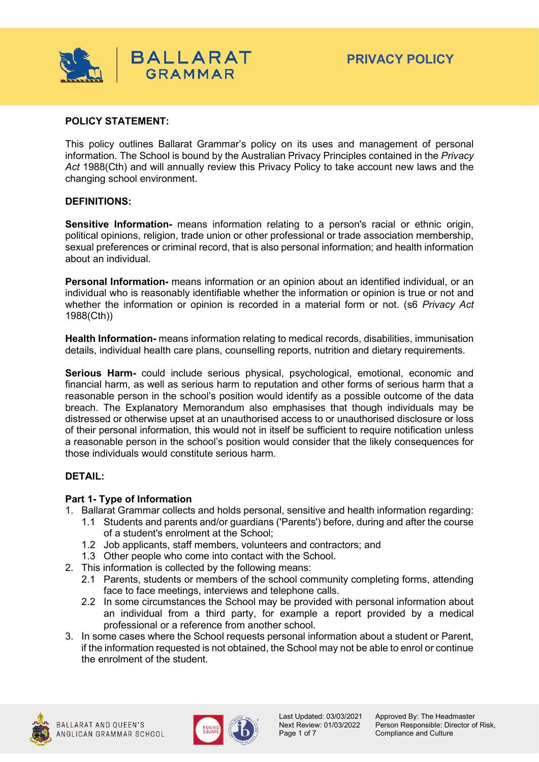

#### **POLICY STATEMENT:**

This policy outlines Ballarat Grammar's policy on its uses and management of personal information. The School is bound by the Australian Privacy Principles contained in the *Privacy Act* 1988(Cth) and will annually review this Privacy Policy to take account new laws and the changing school environment.

#### **DEFINITIONS:**

**Sensitive Information-** means information relating to a person's racial or ethnic origin, political opinions, religion, trade union or other professional or trade association membership, sexual preferences or criminal record, that is also personal information; and health information about an individual.

**Personal Information-** means information or an opinion about an identified individual, or an individual who is reasonably identifiable whether the information or opinion is true or not and whether the information or opinion is recorded in a material form or not. (s6 *Privacy Act*  1988(Cth))

**Health Information-** means information relating to medical records, disabilities, immunisation details, individual health care plans, counselling reports, nutrition and dietary requirements.

**Serious Harm-** could include serious physical, psychological, emotional, economic and financial harm, as well as serious harm to reputation and other forms of serious harm that a reasonable person in the school's position would identify as a possible outcome of the data breach. The Explanatory Memorandum also emphasises that though individuals may be distressed or otherwise upset at an unauthorised access to or unauthorised disclosure or loss of their personal information, this would not in itself be sufficient to require notification unless a reasonable person in the school's position would consider that the likely consequences for those individuals would constitute serious harm.

#### **DETAIL:**

#### **Part 1- Type of Information**

- 1. Ballarat Grammar collects and holds personal, sensitive and health information regarding:
	- 1.1 Students and parents and/or guardians ('Parents') before, during and after the course of a student's enrolment at the School;
	- 1.2 Job applicants, staff members, volunteers and contractors; and
	- 1.3 Other people who come into contact with the School.
- 2. This information is collected by the following means:
	- 2.1 Parents, students or members of the school community completing forms, attending face to face meetings, interviews and telephone calls.
	- 2.2 In some circumstances the School may be provided with personal information about an individual from a third party, for example a report provided by a medical professional or a reference from another school.
- 3. In some cases where the School requests personal information about a student or Parent, if the information requested is not obtained, the School may not be able to enrol or continue the enrolment of the student.



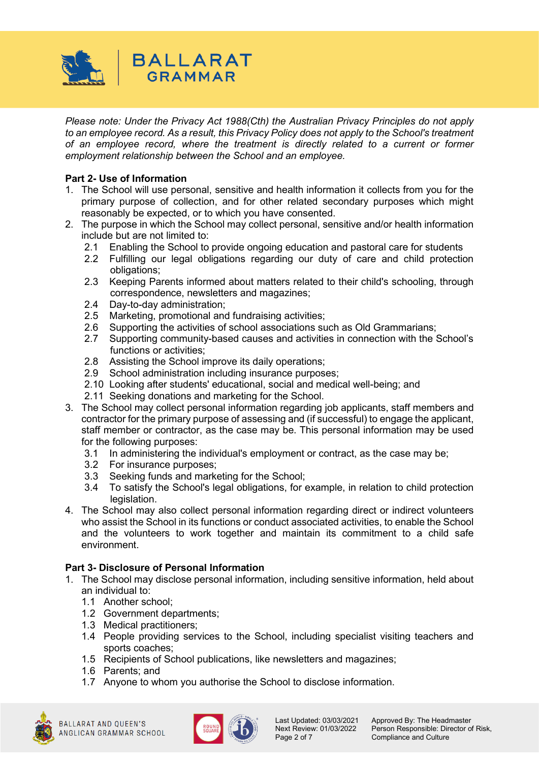

*Please note: Under the Privacy Act 1988(Cth) the Australian Privacy Principles do not apply to an employee record. As a result, this Privacy Policy does not apply to the School's treatment of an employee record, where the treatment is directly related to a current or former employment relationship between the School and an employee.* 

# **Part 2- Use of Information**

- 1. The School will use personal, sensitive and health information it collects from you for the primary purpose of collection, and for other related secondary purposes which might reasonably be expected, or to which you have consented.
- 2. The purpose in which the School may collect personal, sensitive and/or health information include but are not limited to:
	- 2.1 Enabling the School to provide ongoing education and pastoral care for students
		- 2.2 Fulfilling our legal obligations regarding our duty of care and child protection obligations;
		- 2.3 Keeping Parents informed about matters related to their child's schooling, through correspondence, newsletters and magazines;
		- 2.4 Day-to-day administration;
		- 2.5 Marketing, promotional and fundraising activities;
		- 2.6 Supporting the activities of school associations such as Old Grammarians;
		- 2.7 Supporting community-based causes and activities in connection with the School's functions or activities;
		- 2.8 Assisting the School improve its daily operations;
		- 2.9 School administration including insurance purposes;
		- 2.10 Looking after students' educational, social and medical well-being; and
		- 2.11 Seeking donations and marketing for the School.
- 3. The School may collect personal information regarding job applicants, staff members and contractor for the primary purpose of assessing and (if successful) to engage the applicant, staff member or contractor, as the case may be. This personal information may be used for the following purposes:
	- 3.1 In administering the individual's employment or contract, as the case may be;
	- 3.2 For insurance purposes;
	- 3.3 Seeking funds and marketing for the School;
	- 3.4 To satisfy the School's legal obligations, for example, in relation to child protection legislation.
- 4. The School may also collect personal information regarding direct or indirect volunteers who assist the School in its functions or conduct associated activities, to enable the School and the volunteers to work together and maintain its commitment to a child safe environment.

## **Part 3- Disclosure of Personal Information**

- 1. The School may disclose personal information, including sensitive information, held about an individual to:
	- 1.1 Another school;
	- 1.2 Government departments;
	- 1.3 Medical practitioners;
	- 1.4 People providing services to the School, including specialist visiting teachers and sports coaches;
	- 1.5 Recipients of School publications, like newsletters and magazines;
	- 1.6 Parents; and
	- 1.7 Anyone to whom you authorise the School to disclose information.





Last Updated: 03/03/2021 Approved By: The Headmaster<br>Next Review: 01/03/2022 Person Responsible: Director o Next Review: 01/03/2022 Person Responsible: Director of Risk,<br>Page 2 of 7 Compliance and Culture Compliance and Culture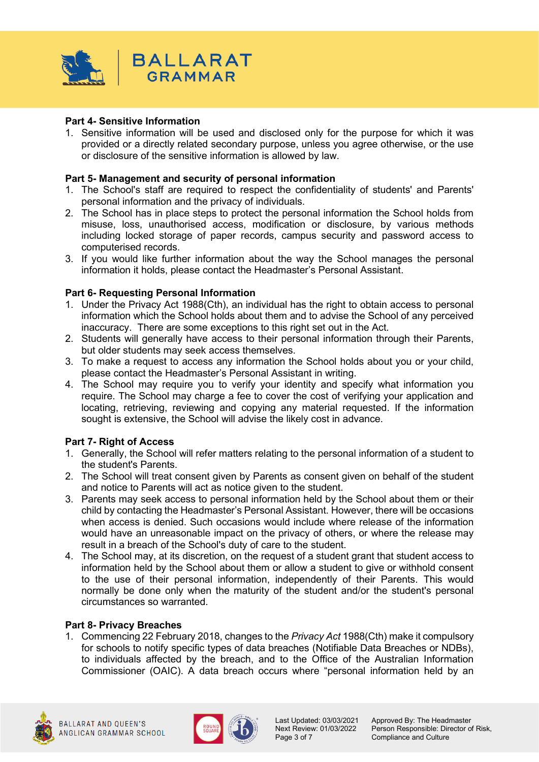

## **Part 4- Sensitive Information**

1. Sensitive information will be used and disclosed only for the purpose for which it was provided or a directly related secondary purpose, unless you agree otherwise, or the use or disclosure of the sensitive information is allowed by law.

#### **Part 5- Management and security of personal information**

- 1. The School's staff are required to respect the confidentiality of students' and Parents' personal information and the privacy of individuals.
- 2. The School has in place steps to protect the personal information the School holds from misuse, loss, unauthorised access, modification or disclosure, by various methods including locked storage of paper records, campus security and password access to computerised records.
- 3. If you would like further information about the way the School manages the personal information it holds, please contact the Headmaster's Personal Assistant.

#### **Part 6- Requesting Personal Information**

- 1. Under the Privacy Act 1988(Cth), an individual has the right to obtain access to personal information which the School holds about them and to advise the School of any perceived inaccuracy. There are some exceptions to this right set out in the Act.
- 2. Students will generally have access to their personal information through their Parents, but older students may seek access themselves.
- 3. To make a request to access any information the School holds about you or your child, please contact the Headmaster's Personal Assistant in writing.
- 4. The School may require you to verify your identity and specify what information you require. The School may charge a fee to cover the cost of verifying your application and locating, retrieving, reviewing and copying any material requested. If the information sought is extensive, the School will advise the likely cost in advance.

#### **Part 7- Right of Access**

- 1. Generally, the School will refer matters relating to the personal information of a student to the student's Parents.
- 2. The School will treat consent given by Parents as consent given on behalf of the student and notice to Parents will act as notice given to the student.
- 3. Parents may seek access to personal information held by the School about them or their child by contacting the Headmaster's Personal Assistant. However, there will be occasions when access is denied. Such occasions would include where release of the information would have an unreasonable impact on the privacy of others, or where the release may result in a breach of the School's duty of care to the student.
- 4. The School may, at its discretion, on the request of a student grant that student access to information held by the School about them or allow a student to give or withhold consent to the use of their personal information, independently of their Parents. This would normally be done only when the maturity of the student and/or the student's personal circumstances so warranted.

#### **Part 8- Privacy Breaches**

1. Commencing 22 February 2018, changes to the *Privacy Act* 1988(Cth) make it compulsory for schools to notify specific types of data breaches (Notifiable Data Breaches or NDBs), to individuals affected by the breach, and to the Office of the Australian Information Commissioner (OAIC). A data breach occurs where "personal information held by an





Last Updated: 03/03/2021 Approved By: The Headmaster<br>Next Review: 01/03/2022 Person Responsible: Director o Next Review: 01/03/2022 Person Responsible: Director of Risk,<br>Page 3 of 7 Compliance and Culture Compliance and Culture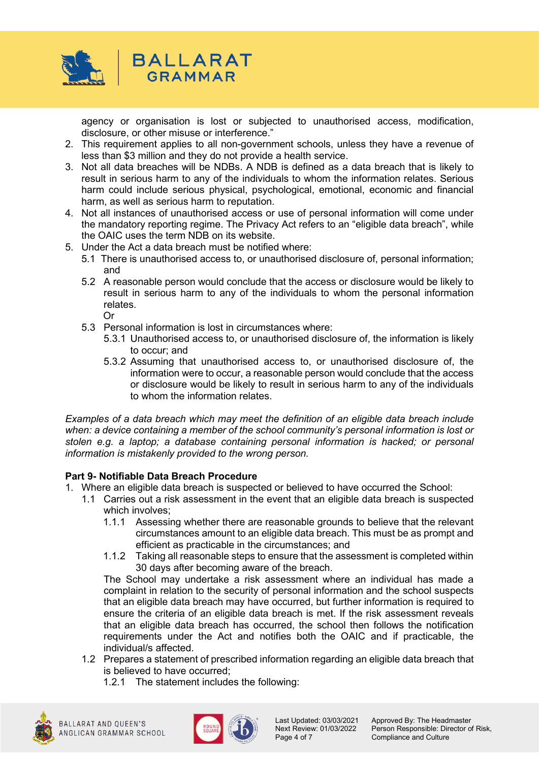

agency or organisation is lost or subjected to unauthorised access, modification, disclosure, or other misuse or interference."

- 2. This requirement applies to all non-government schools, unless they have a revenue of less than \$3 million and they do not provide a health service.
- 3. Not all data breaches will be NDBs. A NDB is defined as a data breach that is likely to result in serious harm to any of the individuals to whom the information relates. Serious harm could include serious physical, psychological, emotional, economic and financial harm, as well as serious harm to reputation.
- 4. Not all instances of unauthorised access or use of personal information will come under the mandatory reporting regime. The Privacy Act refers to an "eligible data breach", while the OAIC uses the term NDB on its website.
- 5. Under the Act a data breach must be notified where:
	- 5.1 There is unauthorised access to, or unauthorised disclosure of, personal information; and
	- 5.2 A reasonable person would conclude that the access or disclosure would be likely to result in serious harm to any of the individuals to whom the personal information relates. Or
	- 5.3 Personal information is lost in circumstances where:
		- 5.3.1 Unauthorised access to, or unauthorised disclosure of, the information is likely to occur; and
		- 5.3.2 Assuming that unauthorised access to, or unauthorised disclosure of, the information were to occur, a reasonable person would conclude that the access or disclosure would be likely to result in serious harm to any of the individuals to whom the information relates.

*Examples of a data breach which may meet the definition of an eligible data breach include when: a device containing a member of the school community's personal information is lost or stolen e.g. a laptop; a database containing personal information is hacked; or personal information is mistakenly provided to the wrong person.* 

#### **Part 9- Notifiable Data Breach Procedure**

- 1. Where an eligible data breach is suspected or believed to have occurred the School:
	- 1.1 Carries out a risk assessment in the event that an eligible data breach is suspected which involves;
		- 1.1.1 Assessing whether there are reasonable grounds to believe that the relevant circumstances amount to an eligible data breach. This must be as prompt and efficient as practicable in the circumstances; and
		- 1.1.2 Taking all reasonable steps to ensure that the assessment is completed within 30 days after becoming aware of the breach.

The School may undertake a risk assessment where an individual has made a complaint in relation to the security of personal information and the school suspects that an eligible data breach may have occurred, but further information is required to ensure the criteria of an eligible data breach is met. If the risk assessment reveals that an eligible data breach has occurred, the school then follows the notification requirements under the Act and notifies both the OAIC and if practicable, the individual/s affected.

- 1.2 Prepares a statement of prescribed information regarding an eligible data breach that is believed to have occurred;
	- 1.2.1 The statement includes the following:





Last Updated: 03/03/2021 Approved By: The Headmaster<br>Next Review: 01/03/2022 Person Responsible: Director o Next Review: 01/03/2022 Person Responsible: Director of Risk,<br>Page 4 of 7 Compliance and Culture Compliance and Culture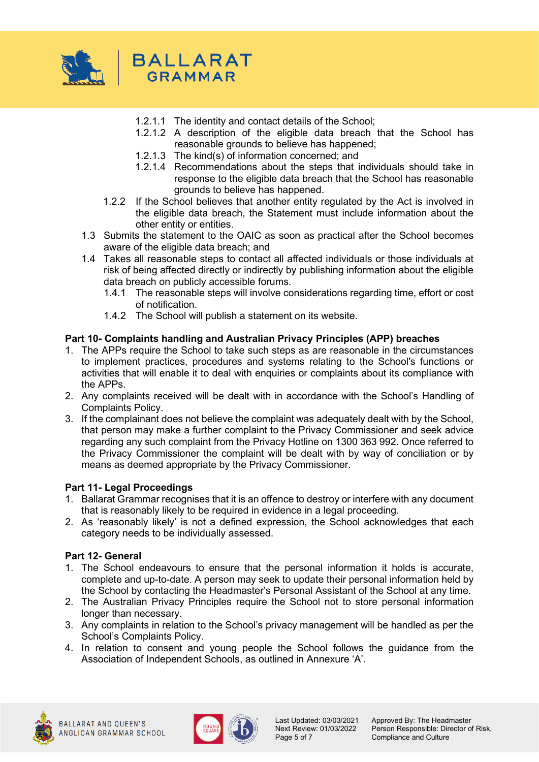

- 1.2.1.1 The identity and contact details of the School;
- 1.2.1.2 A description of the eligible data breach that the School has reasonable grounds to believe has happened;
- 1.2.1.3 The kind(s) of information concerned; and
- 1.2.1.4 Recommendations about the steps that individuals should take in response to the eligible data breach that the School has reasonable grounds to believe has happened.
- 1.2.2 If the School believes that another entity regulated by the Act is involved in the eligible data breach, the Statement must include information about the other entity or entities.
- 1.3 Submits the statement to the OAIC as soon as practical after the School becomes aware of the eligible data breach; and
- 1.4 Takes all reasonable steps to contact all affected individuals or those individuals at risk of being affected directly or indirectly by publishing information about the eligible data breach on publicly accessible forums.
	- 1.4.1 The reasonable steps will involve considerations regarding time, effort or cost of notification.
	- 1.4.2 The School will publish a statement on its website.

## **Part 10- Complaints handling and Australian Privacy Principles (APP) breaches**

- 1. The APPs require the School to take such steps as are reasonable in the circumstances to implement practices, procedures and systems relating to the School's functions or activities that will enable it to deal with enquiries or complaints about its compliance with the APPs.
- 2. Any complaints received will be dealt with in accordance with the School's Handling of Complaints Policy.
- 3. If the complainant does not believe the complaint was adequately dealt with by the School, that person may make a further complaint to the Privacy Commissioner and seek advice regarding any such complaint from the Privacy Hotline on 1300 363 992. Once referred to the Privacy Commissioner the complaint will be dealt with by way of conciliation or by means as deemed appropriate by the Privacy Commissioner.

#### **Part 11- Legal Proceedings**

- 1. Ballarat Grammar recognises that it is an offence to destroy or interfere with any document that is reasonably likely to be required in evidence in a legal proceeding.
- 2. As 'reasonably likely' is not a defined expression, the School acknowledges that each category needs to be individually assessed.

#### **Part 12- General**

- 1. The School endeavours to ensure that the personal information it holds is accurate, complete and up-to-date. A person may seek to update their personal information held by the School by contacting the Headmaster's Personal Assistant of the School at any time.
- 2. The Australian Privacy Principles require the School not to store personal information longer than necessary.
- 3. Any complaints in relation to the School's privacy management will be handled as per the School's Complaints Policy.
- 4. In relation to consent and young people the School follows the guidance from the Association of Independent Schools, as outlined in Annexure 'A'.





Last Updated: 03/03/2021 Approved By: The Headmaster<br>Next Review: 01/03/2022 Person Responsible: Director o Next Review: 01/03/2022 Person Responsible: Director of Risk,<br>Page 5 of 7 Compliance and Culture Compliance and Culture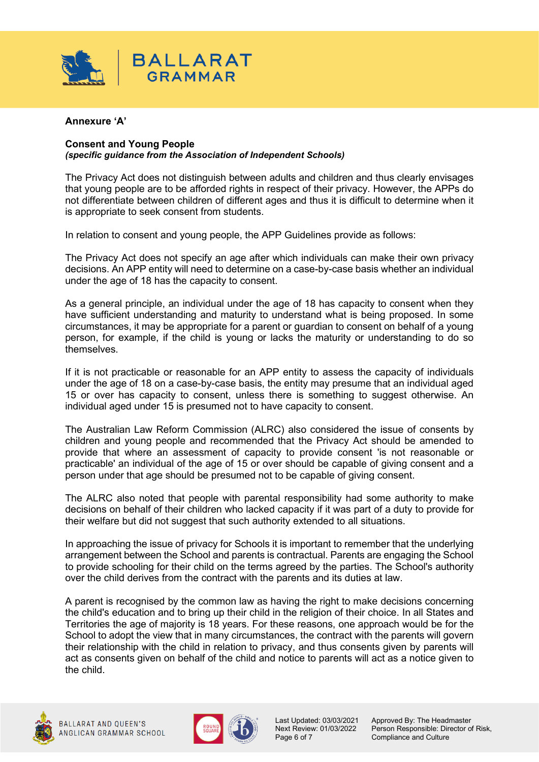

#### **Annexure 'A'**

#### **Consent and Young People** *(specific guidance from the Association of Independent Schools)*

The Privacy Act does not distinguish between adults and children and thus clearly envisages that young people are to be afforded rights in respect of their privacy. However, the APPs do not differentiate between children of different ages and thus it is difficult to determine when it is appropriate to seek consent from students.

In relation to consent and young people, the APP Guidelines provide as follows:

The Privacy Act does not specify an age after which individuals can make their own privacy decisions. An APP entity will need to determine on a case-by-case basis whether an individual under the age of 18 has the capacity to consent.

As a general principle, an individual under the age of 18 has capacity to consent when they have sufficient understanding and maturity to understand what is being proposed. In some circumstances, it may be appropriate for a parent or guardian to consent on behalf of a young person, for example, if the child is young or lacks the maturity or understanding to do so themselves.

If it is not practicable or reasonable for an APP entity to assess the capacity of individuals under the age of 18 on a case-by-case basis, the entity may presume that an individual aged 15 or over has capacity to consent, unless there is something to suggest otherwise. An individual aged under 15 is presumed not to have capacity to consent.

The Australian Law Reform Commission (ALRC) also considered the issue of consents by children and young people and recommended that the Privacy Act should be amended to provide that where an assessment of capacity to provide consent 'is not reasonable or practicable' an individual of the age of 15 or over should be capable of giving consent and a person under that age should be presumed not to be capable of giving consent.

The ALRC also noted that people with parental responsibility had some authority to make decisions on behalf of their children who lacked capacity if it was part of a duty to provide for their welfare but did not suggest that such authority extended to all situations.

In approaching the issue of privacy for Schools it is important to remember that the underlying arrangement between the School and parents is contractual. Parents are engaging the School to provide schooling for their child on the terms agreed by the parties. The School's authority over the child derives from the contract with the parents and its duties at law.

A parent is recognised by the common law as having the right to make decisions concerning the child's education and to bring up their child in the religion of their choice. In all States and Territories the age of majority is 18 years. For these reasons, one approach would be for the School to adopt the view that in many circumstances, the contract with the parents will govern their relationship with the child in relation to privacy, and thus consents given by parents will act as consents given on behalf of the child and notice to parents will act as a notice given to the child.





Last Updated: 03/03/2021 Approved By: The Headmaster<br>Next Review: 01/03/2022 Person Responsible: Director o Next Review: 01/03/2022 Person Responsible: Director of Risk,<br>Page 6 of 7 Compliance and Culture Compliance and Culture